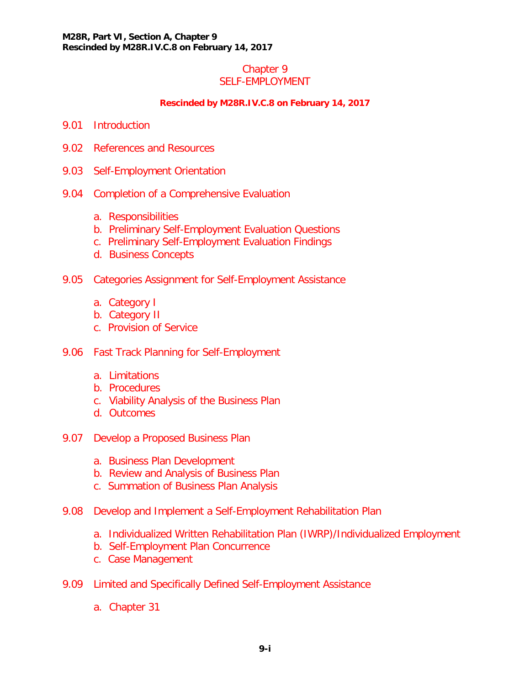#### Chapter 9 SELF-EMPLOYMENT

#### **Rescinded by M28R.IV.C.8 on February 14, 2017**

- 9.01 [Introduction](#page-2-0)
- 9.02 [References and Resources](#page-2-1)
- 9.03 [Self-Employment Orientation](#page-3-0)
- 9.04 [Completion of a Comprehensive Evaluation](#page-3-1)
	- [a. Responsibilities](#page-3-2)
	- [b. Preliminary Self-Employment Evaluation Questions](#page-5-0)
	- [c. Preliminary Self-Employment Evaluation Findings](#page-6-0)
	- d. [Business Concepts](#page-7-0)
- 9.05 [Categories Assignment for Self-Employment Assistance](#page-8-0)
	- [a. Category I](#page-8-1)
	- [b. Category II](#page-9-0)
	- [c. Provision of Service](#page-10-0)
- 9.06 [Fast Track Planning for Self-Employment](#page-11-0)
	- a. [Limitations](#page-12-0)
	- b. [Procedures](#page-12-1)
	- c. [Viability Analysis of the Business Plan](#page-14-0)
	- d. [Outcomes](#page-14-1)
- 9.07 [Develop a Proposed Business Plan](#page-15-0)
	- [a. Business Plan Development](#page-15-1)
	- [b. Review and Analysis of Business Plan](#page-17-0)
	- [c. Summation of Business Plan Analysis](#page-19-0)
- 9.08 [Develop and Implement a Self-Employment Rehabilitation Plan](#page-19-1)
	- [a. Individualized Written Rehabilitation Plan \(IWRP\)/Individualized Employment](#page-19-2)
	- [b. Self-Employment Plan Concurrence](#page-20-0)
	- [c. Case Management](#page-21-0)
- 9.09 [Limited and Specifically Defined Self-Employment Assistance](#page-22-0)
	- a. [Chapter 31](#page-22-1)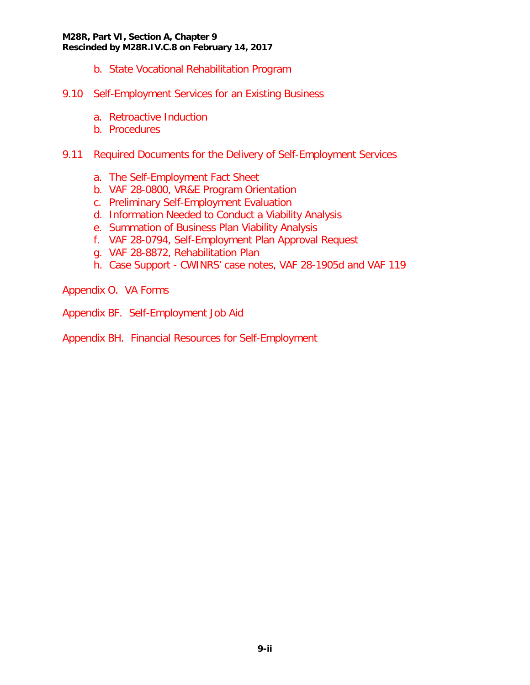#### **M28R, Part VI, Section A, Chapter 9 Rescinded by M28R.IV.C.8 on February 14, 2017**

- b. [State Vocational Rehabilitation Program](#page-22-2)
- 9.10 [Self-Employment Services for an Existing Business](#page-23-0)
	- a. [Retroactive Induction](#page-24-0)
	- b. [Procedures](#page-24-1)
- 9.11 [Required Documents for the Delivery of Self-Employment Services](#page-25-0)
	- a. [The Self-Employment Fact Sheet](#page-25-1)
	- b. [VAF 28-0800, VR&E Program Orientation](#page-25-2)
	- c. [Preliminary Self-Employment Evaluation](#page-25-3)
	- d. [Information Needed to Conduct a Viability Analysis](#page-25-4)
	- e. [Summation of Business Plan Viability Analysis](#page-25-5)
	- f. [VAF 28-0794, Self-Employment Plan Approval Request](#page-26-0)
	- g. [VAF 28-8872, Rehabilitation Plan](#page-26-1)
	- h. Case Support [CWINRS' case notes, VAF 28-1905d and VAF 119](#page-26-2)

Appendix O. VA Forms

- Appendix BF. Self-Employment Job Aid
- Appendix BH. Financial Resources for Self-Employment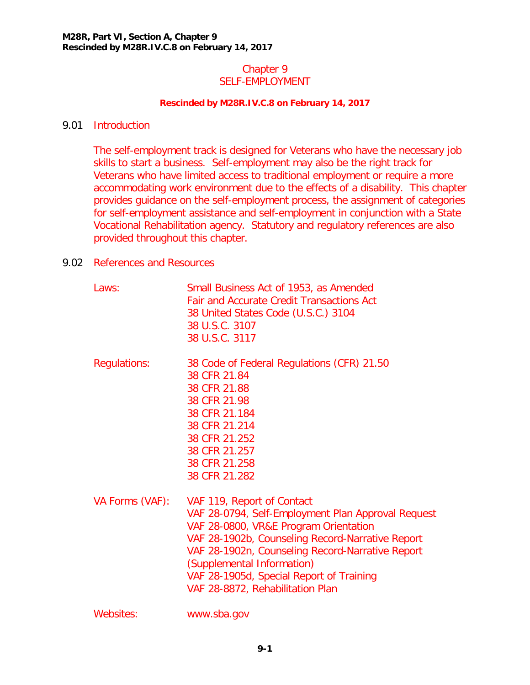### Chapter 9 SELF-EMPLOYMENT

#### **Rescinded by M28R.IV.C.8 on February 14, 2017**

### <span id="page-2-0"></span>9.01 Introduction

The self-employment track is designed for Veterans who have the necessary job skills to start a business. Self-employment may also be the right track for Veterans who have limited access to traditional employment or require a more accommodating work environment due to the effects of a disability. This chapter provides guidance on the self-employment process, the assignment of categories for self-employment assistance and self-employment in conjunction with a State Vocational Rehabilitation agency. Statutory and regulatory references are also provided throughout this chapter.

### <span id="page-2-1"></span>9.02 References and Resources

| Laws:               | Small Business Act of 1953, as Amended<br><b>Fair and Accurate Credit Transactions Act</b><br>38 United States Code (U.S.C.) 3104<br>38 U.S.C. 3107<br>38 U.S.C. 3117                                                                                                                                                                           |
|---------------------|-------------------------------------------------------------------------------------------------------------------------------------------------------------------------------------------------------------------------------------------------------------------------------------------------------------------------------------------------|
| <b>Regulations:</b> | 38 Code of Federal Regulations (CFR) 21.50<br>38 CFR 21.84<br>38 CFR 21.88<br>38 CFR 21.98<br>38 CFR 21.184<br>38 CFR 21.214<br>38 CFR 21.252<br>38 CFR 21.257<br>38 CFR 21.258<br>38 CFR 21.282                                                                                                                                                |
| VA Forms (VAF):     | VAF 119, Report of Contact<br>VAF 28-0794, Self-Employment Plan Approval Request<br>VAF 28-0800, VR&E Program Orientation<br>VAF 28-1902b, Counseling Record-Narrative Report<br>VAF 28-1902n, Counseling Record-Narrative Report<br>(Supplemental Information)<br>VAF 28-1905d, Special Report of Training<br>VAF 28-8872, Rehabilitation Plan |
| Websites:           | www.sba.gov                                                                                                                                                                                                                                                                                                                                     |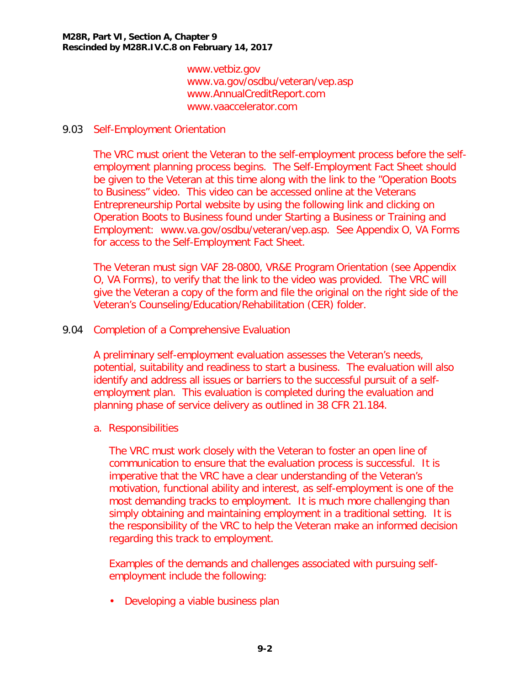www.vetbiz.gov www.va.gov/osdbu/veteran/vep.asp www.AnnualCreditReport.com [www.vaaccelerator.com](http://www.vaaccelerator.com/)

### <span id="page-3-0"></span>9.03 Self-Employment Orientation

The VRC must orient the Veteran to the self-employment process before the selfemployment planning process begins. The Self-Employment Fact Sheet should be given to the Veteran at this time along with the link to the "Operation Boots to Business" video. This video can be accessed online at the Veterans Entrepreneurship Portal website by using the following link and clicking on Operation Boots to Business found under Starting a Business or Training and Employment: www.va.gov/osdbu/veteran/vep.asp. See Appendix O, VA Forms for access to the Self-Employment Fact Sheet.

The Veteran must sign VAF 28-0800, VR&E Program Orientation (see Appendix O, VA Forms), to verify that the link to the video was provided. The VRC will give the Veteran a copy of the form and file the original on the right side of the Veteran's Counseling/Education/Rehabilitation (CER) folder.

<span id="page-3-1"></span>9.04 Completion of a Comprehensive Evaluation

A preliminary self-employment evaluation assesses the Veteran's needs, potential, suitability and readiness to start a business. The evaluation will also identify and address all issues or barriers to the successful pursuit of a selfemployment plan. This evaluation is completed during the evaluation and planning phase of service delivery as outlined in 38 CFR 21.184.

<span id="page-3-2"></span>a. Responsibilities

The VRC must work closely with the Veteran to foster an open line of communication to ensure that the evaluation process is successful. It is imperative that the VRC have a clear understanding of the Veteran's motivation, functional ability and interest, as self-employment is one of the most demanding tracks to employment. It is much more challenging than simply obtaining and maintaining employment in a traditional setting. It is the responsibility of the VRC to help the Veteran make an informed decision regarding this track to employment.

Examples of the demands and challenges associated with pursuing selfemployment include the following:

• Developing a viable business plan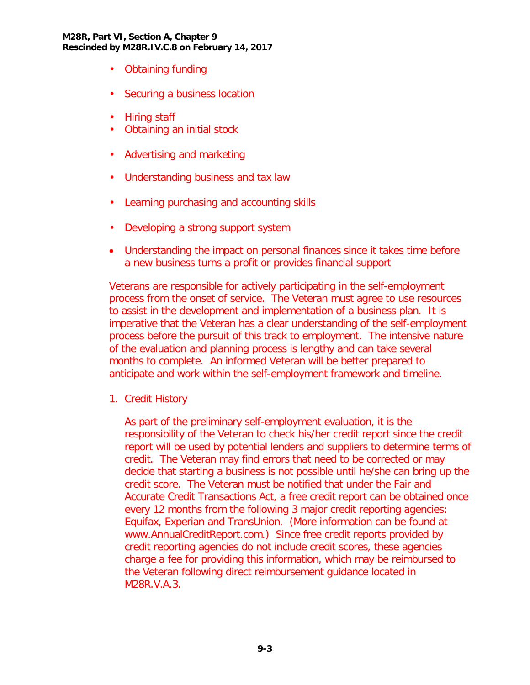#### **M28R, Part VI, Section A, Chapter 9 Rescinded by M28R.IV.C.8 on February 14, 2017**

- Obtaining funding
- Securing a business location
- Hiring staff
- Obtaining an initial stock
- Advertising and marketing
- Understanding business and tax law
- Learning purchasing and accounting skills
- Developing a strong support system
- Understanding the impact on personal finances since it takes time before a new business turns a profit or provides financial support

Veterans are responsible for actively participating in the self-employment process from the onset of service. The Veteran must agree to use resources to assist in the development and implementation of a business plan. It is imperative that the Veteran has a clear understanding of the self-employment process before the pursuit of this track to employment. The intensive nature of the evaluation and planning process is lengthy and can take several months to complete. An informed Veteran will be better prepared to anticipate and work within the self-employment framework and timeline.

1. Credit History

As part of the preliminary self-employment evaluation, it is the responsibility of the Veteran to check his/her credit report since the credit report will be used by potential lenders and suppliers to determine terms of credit. The Veteran may find errors that need to be corrected or may decide that starting a business is not possible until he/she can bring up the credit score. The Veteran must be notified that under the Fair and Accurate Credit Transactions Act, a free credit report can be obtained once every 12 months from the following 3 major credit reporting agencies: Equifax, Experian and TransUnion. (More information can be found at www.AnnualCreditReport.com.) Since free credit reports provided by credit reporting agencies do not include credit scores, these agencies charge a fee for providing this information, which may be reimbursed to the Veteran following direct reimbursement guidance located in M28R.V.A.3.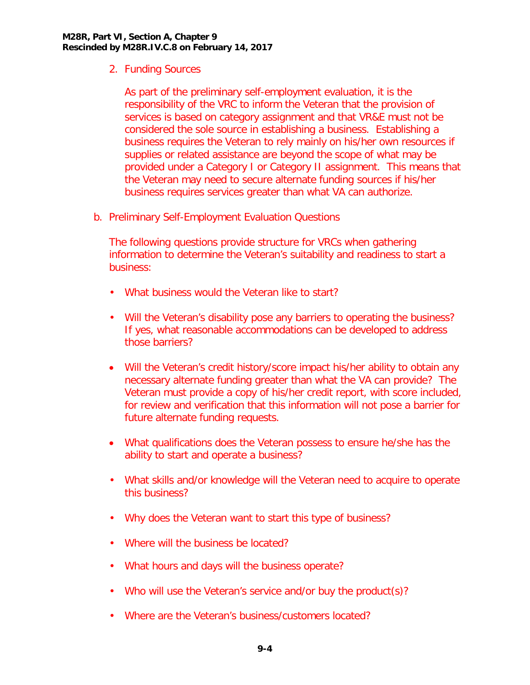2. Funding Sources

As part of the preliminary self-employment evaluation, it is the responsibility of the VRC to inform the Veteran that the provision of services is based on category assignment and that VR&E must not be considered the sole source in establishing a business. Establishing a business requires the Veteran to rely mainly on his/her own resources if supplies or related assistance are beyond the scope of what may be provided under a Category I or Category II assignment. This means that the Veteran may need to secure alternate funding sources if his/her business requires services greater than what VA can authorize.

<span id="page-5-0"></span>b. Preliminary Self-Employment Evaluation Questions

The following questions provide structure for VRCs when gathering information to determine the Veteran's suitability and readiness to start a business:

- What business would the Veteran like to start?
- Will the Veteran's disability pose any barriers to operating the business? If yes, what reasonable accommodations can be developed to address those barriers?
- Will the Veteran's credit history/score impact his/her ability to obtain any necessary alternate funding greater than what the VA can provide? The Veteran must provide a copy of his/her credit report, with score included, for review and verification that this information will not pose a barrier for future alternate funding requests.
- What qualifications does the Veteran possess to ensure he/she has the ability to start and operate a business?
- What skills and/or knowledge will the Veteran need to acquire to operate this business?
- Why does the Veteran want to start this type of business?
- Where will the business be located?
- What hours and days will the business operate?
- Who will use the Veteran's service and/or buy the product(s)?
- Where are the Veteran's business/customers located?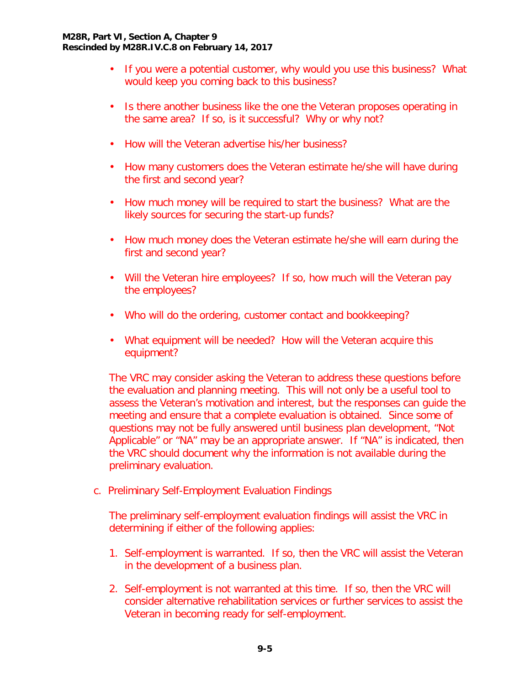- If you were a potential customer, why would you use this business? What would keep you coming back to this business?
- Is there another business like the one the Veteran proposes operating in the same area? If so, is it successful? Why or why not?
- How will the Veteran advertise his/her business?
- How many customers does the Veteran estimate he/she will have during the first and second year?
- How much money will be required to start the business? What are the likely sources for securing the start-up funds?
- How much money does the Veteran estimate he/she will earn during the first and second year?
- Will the Veteran hire employees? If so, how much will the Veteran pay the employees?
- Who will do the ordering, customer contact and bookkeeping?
- What equipment will be needed? How will the Veteran acquire this equipment?

The VRC may consider asking the Veteran to address these questions before the evaluation and planning meeting. This will not only be a useful tool to assess the Veteran's motivation and interest, but the responses can guide the meeting and ensure that a complete evaluation is obtained. Since some of questions may not be fully answered until business plan development, "Not Applicable" or "NA" may be an appropriate answer. If "NA" is indicated, then the VRC should document why the information is not available during the preliminary evaluation.

<span id="page-6-0"></span>c. Preliminary Self-Employment Evaluation Findings

The preliminary self-employment evaluation findings will assist the VRC in determining if either of the following applies:

- 1. Self-employment is warranted. If so, then the VRC will assist the Veteran in the development of a business plan.
- 2. Self-employment is not warranted at this time. If so, then the VRC will consider alternative rehabilitation services or further services to assist the Veteran in becoming ready for self-employment.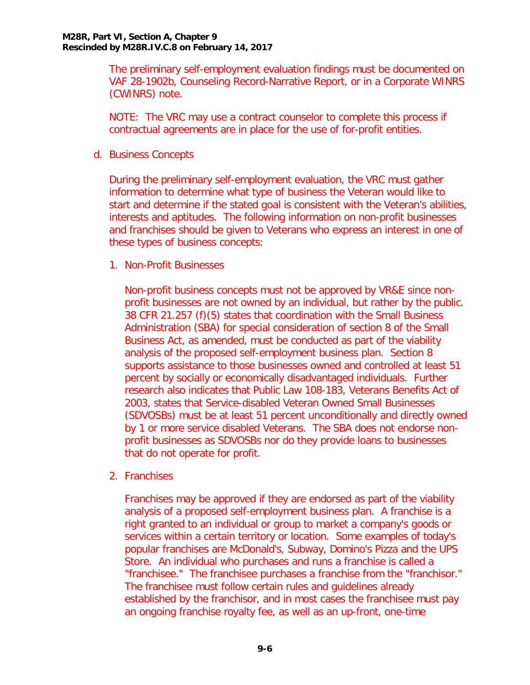The preliminary self-employment evaluation findings must be documented on VAF 28-1902b, Counseling Record-Narrative Report, or in a Corporate WINRS (CWINRS) note.

NOTE: The VRC may use a contract counselor to complete this process if contractual agreements are in place for the use of for-profit entities.

<span id="page-7-0"></span>d. Business Concepts

During the preliminary self-employment evaluation, the VRC must gather information to determine what type of business the Veteran would like to start and determine if the stated goal is consistent with the Veteran's abilities, interests and aptitudes. The following information on non-profit businesses and franchises should be given to Veterans who express an interest in one of these types of business concepts:

1. Non-Profit Businesses

Non-profit business concepts must not be approved by VR&E since nonprofit businesses are not owned by an individual, but rather by the public. 38 CFR 21.257 (f)(5) states that coordination with the Small Business Administration (SBA) for special consideration of section 8 of the Small Business Act, as amended, must be conducted as part of the viability analysis of the proposed self-employment business plan. Section 8 supports assistance to those businesses owned and controlled at least 51 percent by socially or economically disadvantaged individuals. Further research also indicates that Public Law 108-183, Veterans Benefits Act of 2003, states that Service-disabled Veteran Owned Small Businesses (SDVOSBs) must be at least 51 percent unconditionally and directly owned by 1 or more service disabled Veterans. The SBA does not endorse nonprofit businesses as SDVOSBs nor do they provide loans to businesses that do not operate for profit.

2. Franchises

Franchises may be approved if they are endorsed as part of the viability analysis of a proposed self-employment business plan. A franchise is a right granted to an individual or group to market a company's goods or services within a certain territory or location. Some examples of today's popular franchises are McDonald's, Subway, Domino's Pizza and the UPS Store. An individual who purchases and runs a franchise is called a "franchisee." The franchisee purchases a franchise from the "franchisor." The franchisee must follow certain rules and guidelines already established by the franchisor, and in most cases the franchisee must pay an ongoing franchise royalty fee, as well as an up-front, one-time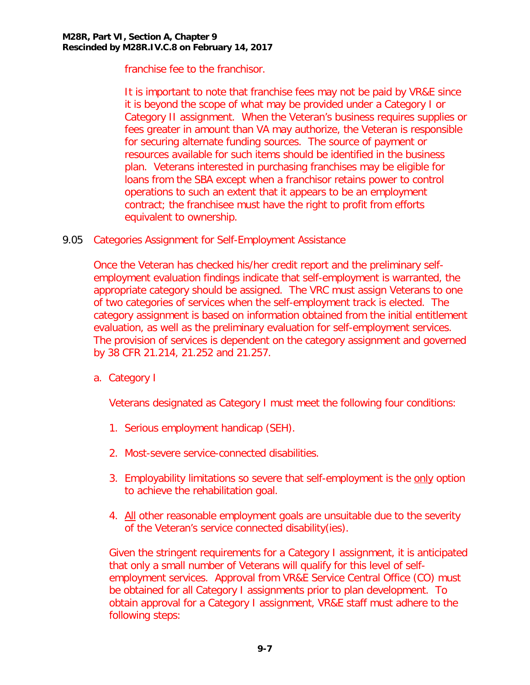franchise fee to the franchisor.

It is important to note that franchise fees may not be paid by VR&E since it is beyond the scope of what may be provided under a Category I or Category II assignment. When the Veteran's business requires supplies or fees greater in amount than VA may authorize, the Veteran is responsible for securing alternate funding sources. The source of payment or resources available for such items should be identified in the business plan. Veterans interested in purchasing franchises may be eligible for loans from the SBA except when a franchisor retains power to control operations to such an extent that it appears to be an employment contract; the franchisee must have the right to profit from efforts equivalent to ownership.

<span id="page-8-0"></span>9.05 Categories Assignment for Self-Employment Assistance

Once the Veteran has checked his/her credit report and the preliminary selfemployment evaluation findings indicate that self-employment is warranted, the appropriate category should be assigned. The VRC must assign Veterans to one of two categories of services when the self-employment track is elected. The category assignment is based on information obtained from the initial entitlement evaluation, as well as the preliminary evaluation for self-employment services. The provision of services is dependent on the category assignment and governed by 38 CFR 21.214, 21.252 and 21.257.

<span id="page-8-1"></span>a. Category I

Veterans designated as Category I must meet the following four conditions:

- 1. Serious employment handicap (SEH).
- 2. Most-severe service-connected disabilities.
- 3. Employability limitations so severe that self-employment is the only option to achieve the rehabilitation goal.
- 4. All other reasonable employment goals are unsuitable due to the severity of the Veteran's service connected disability(ies).

Given the stringent requirements for a Category I assignment, it is anticipated that only a small number of Veterans will qualify for this level of selfemployment services. Approval from VR&E Service Central Office (CO) must be obtained for all Category I assignments prior to plan development. To obtain approval for a Category I assignment, VR&E staff must adhere to the following steps: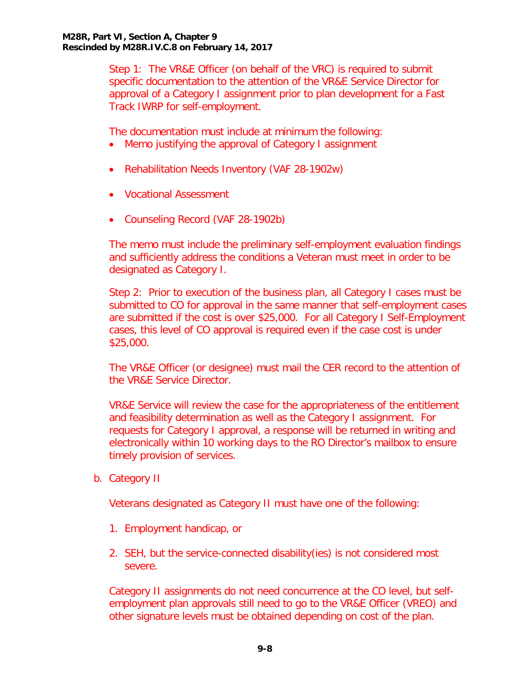Step 1: The VR&E Officer (on behalf of the VRC) is required to submit specific documentation to the attention of the VR&E Service Director for approval of a Category I assignment prior to plan development for a Fast Track IWRP for self-employment.

The documentation must include at minimum the following:

- Memo justifying the approval of Category I assignment
- Rehabilitation Needs Inventory (VAF 28-1902w)
- Vocational Assessment
- Counseling Record (VAF 28-1902b)

The memo must include the preliminary self-employment evaluation findings and sufficiently address the conditions a Veteran must meet in order to be designated as Category I.

Step 2: Prior to execution of the business plan, all Category I cases must be submitted to CO for approval in the same manner that self-employment cases are submitted if the cost is over \$25,000. For all Category I Self-Employment cases, this level of CO approval is required even if the case cost is under \$25,000.

The VR&E Officer (or designee) must mail the CER record to the attention of the VR&E Service Director.

VR&E Service will review the case for the appropriateness of the entitlement and feasibility determination as well as the Category I assignment. For requests for Category I approval, a response will be returned in writing and electronically within 10 working days to the RO Director's mailbox to ensure timely provision of services.

<span id="page-9-0"></span>b. Category II

Veterans designated as Category II must have one of the following:

- 1. Employment handicap, or
- 2. SEH, but the service-connected disability(ies) is not considered most severe.

Category II assignments do not need concurrence at the CO level, but selfemployment plan approvals still need to go to the VR&E Officer (VREO) and other signature levels must be obtained depending on cost of the plan.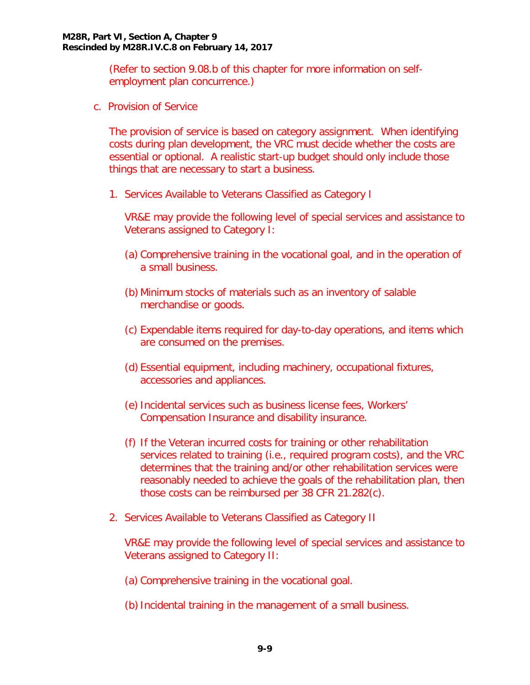(Refer to section 9.08.b of this chapter for more information on selfemployment plan concurrence.)

<span id="page-10-0"></span>c. Provision of Service

The provision of service is based on category assignment. When identifying costs during plan development, the VRC must decide whether the costs are essential or optional. A realistic start-up budget should only include those things that are necessary to start a business.

1. Services Available to Veterans Classified as Category I

VR&E may provide the following level of special services and assistance to Veterans assigned to Category I:

- (a) Comprehensive training in the vocational goal, and in the operation of a small business.
- (b) Minimum stocks of materials such as an inventory of salable merchandise or goods.
- (c) Expendable items required for day-to-day operations, and items which are consumed on the premises.
- (d) Essential equipment, including machinery, occupational fixtures, accessories and appliances.
- (e) Incidental services such as business license fees, Workers' Compensation Insurance and disability insurance.
- (f) If the Veteran incurred costs for training or other rehabilitation services related to training (i.e., required program costs), and the VRC determines that the training and/or other rehabilitation services were reasonably needed to achieve the goals of the rehabilitation plan, then those costs can be reimbursed per 38 CFR 21.282(c).
- 2. Services Available to Veterans Classified as Category II

VR&E may provide the following level of special services and assistance to Veterans assigned to Category II:

- (a) Comprehensive training in the vocational goal.
- (b)Incidental training in the management of a small business.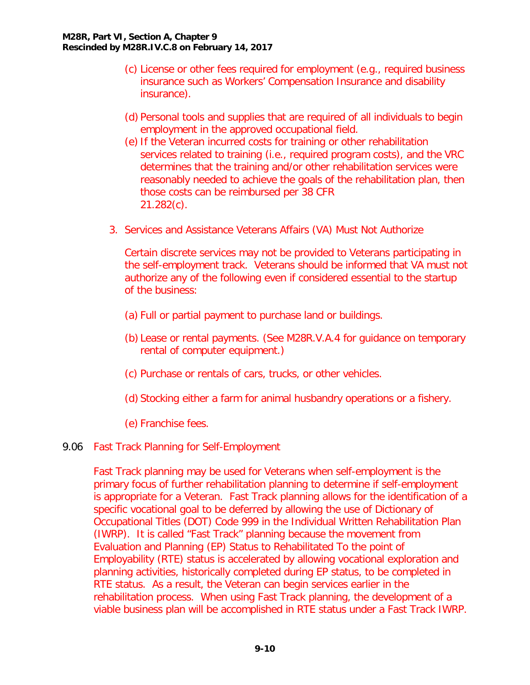- (c) License or other fees required for employment (e.g., required business insurance such as Workers' Compensation Insurance and disability insurance).
- (d) Personal tools and supplies that are required of all individuals to begin employment in the approved occupational field.
- (e) If the Veteran incurred costs for training or other rehabilitation services related to training (i.e., required program costs), and the VRC determines that the training and/or other rehabilitation services were reasonably needed to achieve the goals of the rehabilitation plan, then those costs can be reimbursed per 38 CFR 21.282(c).
- 3. Services and Assistance Veterans Affairs (VA) Must Not Authorize

Certain discrete services may not be provided to Veterans participating in the self-employment track. Veterans should be informed that VA must not authorize any of the following even if considered essential to the startup of the business:

- (a) Full or partial payment to purchase land or buildings.
- (b) Lease or rental payments. (See M28R.V.A.4 for guidance on temporary rental of computer equipment.)
- (c) Purchase or rentals of cars, trucks, or other vehicles.
- (d) Stocking either a farm for animal husbandry operations or a fishery.
- (e) Franchise fees.

## <span id="page-11-0"></span>9.06 Fast Track Planning for Self-Employment

Fast Track planning may be used for Veterans when self-employment is the primary focus of further rehabilitation planning to determine if self-employment is appropriate for a Veteran. Fast Track planning allows for the identification of a specific vocational goal to be deferred by allowing the use of Dictionary of Occupational Titles (DOT) Code 999 in the Individual Written Rehabilitation Plan (IWRP). It is called "Fast Track" planning because the movement from Evaluation and Planning (EP) Status to Rehabilitated To the point of Employability (RTE) status is accelerated by allowing vocational exploration and planning activities, historically completed during EP status, to be completed in RTE status. As a result, the Veteran can begin services earlier in the rehabilitation process. When using Fast Track planning, the development of a viable business plan will be accomplished in RTE status under a Fast Track IWRP.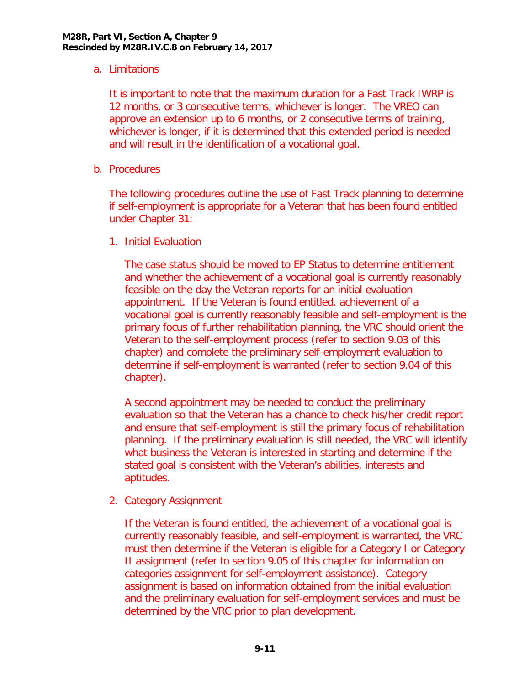# <span id="page-12-0"></span>a. Limitations

It is important to note that the maximum duration for a Fast Track IWRP is 12 months, or 3 consecutive terms, whichever is longer. The VREO can approve an extension up to 6 months, or 2 consecutive terms of training, whichever is longer, if it is determined that this extended period is needed and will result in the identification of a vocational goal.

<span id="page-12-1"></span>b. Procedures

The following procedures outline the use of Fast Track planning to determine if self-employment is appropriate for a Veteran that has been found entitled under Chapter 31:

1. Initial Evaluation

The case status should be moved to EP Status to determine entitlement and whether the achievement of a vocational goal is currently reasonably feasible on the day the Veteran reports for an initial evaluation appointment. If the Veteran is found entitled, achievement of a vocational goal is currently reasonably feasible and self-employment is the primary focus of further rehabilitation planning, the VRC should orient the Veteran to the self-employment process (refer to section 9.03 of this chapter) and complete the preliminary self-employment evaluation to determine if self-employment is warranted (refer to section 9.04 of this chapter).

A second appointment may be needed to conduct the preliminary evaluation so that the Veteran has a chance to check his/her credit report and ensure that self-employment is still the primary focus of rehabilitation planning. If the preliminary evaluation is still needed, the VRC will identify what business the Veteran is interested in starting and determine if the stated goal is consistent with the Veteran's abilities, interests and aptitudes.

2. Category Assignment

If the Veteran is found entitled, the achievement of a vocational goal is currently reasonably feasible, and self-employment is warranted, the VRC must then determine if the Veteran is eligible for a Category I or Category II assignment (refer to section 9.05 of this chapter for information on categories assignment for self-employment assistance). Category assignment is based on information obtained from the initial evaluation and the preliminary evaluation for self-employment services and must be determined by the VRC prior to plan development.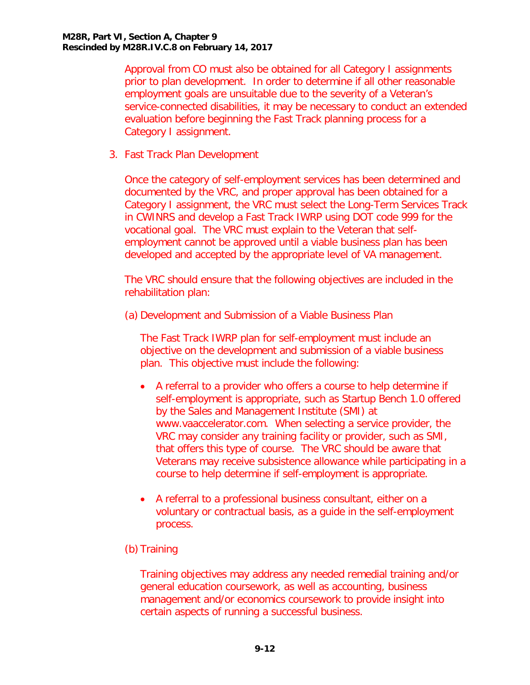Approval from CO must also be obtained for all Category I assignments prior to plan development. In order to determine if all other reasonable employment goals are unsuitable due to the severity of a Veteran's service-connected disabilities, it may be necessary to conduct an extended evaluation before beginning the Fast Track planning process for a Category I assignment.

3. Fast Track Plan Development

Once the category of self-employment services has been determined and documented by the VRC, and proper approval has been obtained for a Category I assignment, the VRC must select the Long-Term Services Track in CWINRS and develop a Fast Track IWRP using DOT code 999 for the vocational goal. The VRC must explain to the Veteran that selfemployment cannot be approved until a viable business plan has been developed and accepted by the appropriate level of VA management.

The VRC should ensure that the following objectives are included in the rehabilitation plan:

(a) Development and Submission of a Viable Business Plan

The Fast Track IWRP plan for self-employment must include an objective on the development and submission of a viable business plan. This objective must include the following:

- A referral to a provider who offers a course to help determine if self-employment is appropriate, such as Startup Bench 1.0 offered by the Sales and Management Institute (SMI) at www.vaaccelerator.com. When selecting a service provider, the VRC may consider any training facility or provider, such as SMI, that offers this type of course. The VRC should be aware that Veterans may receive subsistence allowance while participating in a course to help determine if self-employment is appropriate.
- A referral to a professional business consultant, either on a voluntary or contractual basis, as a guide in the self-employment process.

# (b) Training

Training objectives may address any needed remedial training and/or general education coursework, as well as accounting, business management and/or economics coursework to provide insight into certain aspects of running a successful business.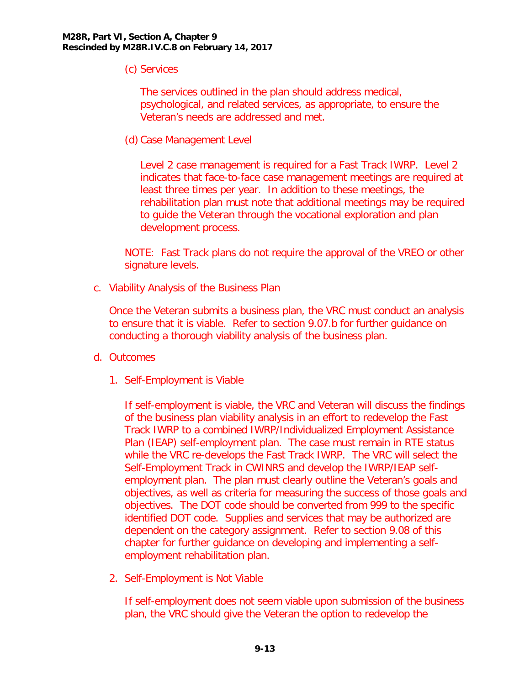(c) Services

The services outlined in the plan should address medical, psychological, and related services, as appropriate, to ensure the Veteran's needs are addressed and met.

(d) Case Management Level

Level 2 case management is required for a Fast Track IWRP. Level 2 indicates that face-to-face case management meetings are required at least three times per year. In addition to these meetings, the rehabilitation plan must note that additional meetings may be required to guide the Veteran through the vocational exploration and plan development process.

NOTE: Fast Track plans do not require the approval of the VREO or other signature levels.

<span id="page-14-0"></span>c. Viability Analysis of the Business Plan

Once the Veteran submits a business plan, the VRC must conduct an analysis to ensure that it is viable. Refer to section 9.07.b for further guidance on conducting a thorough viability analysis of the business plan.

- <span id="page-14-1"></span>d. Outcomes
	- 1. Self-Employment is Viable

If self-employment is viable, the VRC and Veteran will discuss the findings of the business plan viability analysis in an effort to redevelop the Fast Track IWRP to a combined IWRP/Individualized Employment Assistance Plan (IEAP) self-employment plan. The case must remain in RTE status while the VRC re-develops the Fast Track IWRP. The VRC will select the Self-Employment Track in CWINRS and develop the IWRP/IEAP selfemployment plan. The plan must clearly outline the Veteran's goals and objectives, as well as criteria for measuring the success of those goals and objectives. The DOT code should be converted from 999 to the specific identified DOT code. Supplies and services that may be authorized are dependent on the category assignment. Refer to section 9.08 of this chapter for further guidance on developing and implementing a selfemployment rehabilitation plan.

2. Self-Employment is Not Viable

If self-employment does not seem viable upon submission of the business plan, the VRC should give the Veteran the option to redevelop the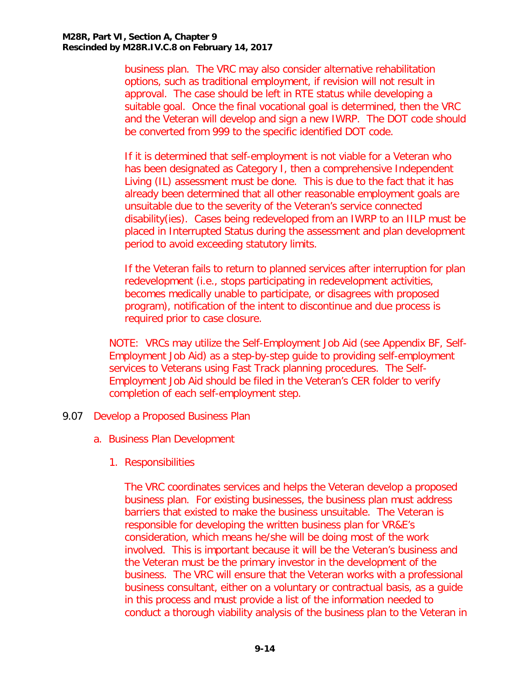business plan. The VRC may also consider alternative rehabilitation options, such as traditional employment, if revision will not result in approval. The case should be left in RTE status while developing a suitable goal. Once the final vocational goal is determined, then the VRC and the Veteran will develop and sign a new IWRP. The DOT code should be converted from 999 to the specific identified DOT code.

If it is determined that self-employment is not viable for a Veteran who has been designated as Category I, then a comprehensive Independent Living (IL) assessment must be done. This is due to the fact that it has already been determined that all other reasonable employment goals are unsuitable due to the severity of the Veteran's service connected disability(ies). Cases being redeveloped from an IWRP to an IILP must be placed in Interrupted Status during the assessment and plan development period to avoid exceeding statutory limits.

If the Veteran fails to return to planned services after interruption for plan redevelopment (i.e., stops participating in redevelopment activities, becomes medically unable to participate, or disagrees with proposed program), notification of the intent to discontinue and due process is required prior to case closure.

NOTE: VRCs may utilize the Self-Employment Job Aid (see Appendix BF, Self-Employment Job Aid) as a step-by-step guide to providing self-employment services to Veterans using Fast Track planning procedures. The Self-Employment Job Aid should be filed in the Veteran's CER folder to verify completion of each self-employment step.

- <span id="page-15-1"></span><span id="page-15-0"></span>9.07 Develop a Proposed Business Plan
	- a. Business Plan Development
		- 1. Responsibilities

The VRC coordinates services and helps the Veteran develop a proposed business plan. For existing businesses, the business plan must address barriers that existed to make the business unsuitable. The Veteran is responsible for developing the written business plan for VR&E's consideration, which means he/she will be doing most of the work involved. This is important because it will be the Veteran's business and the Veteran must be the primary investor in the development of the business. The VRC will ensure that the Veteran works with a professional business consultant, either on a voluntary or contractual basis, as a guide in this process and must provide a list of the information needed to conduct a thorough viability analysis of the business plan to the Veteran in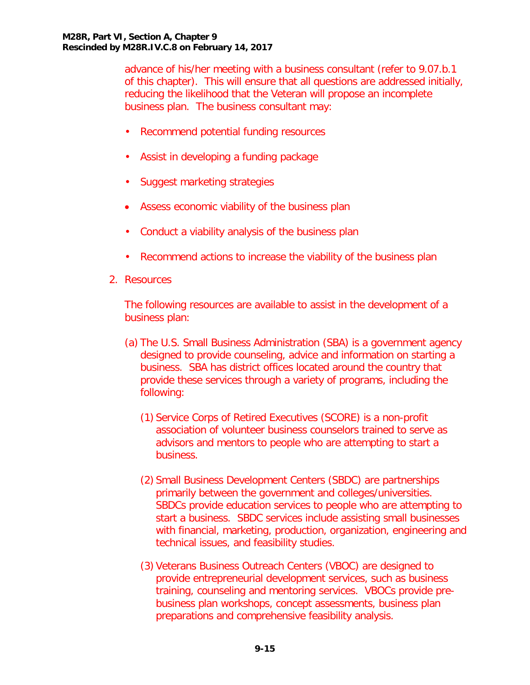advance of his/her meeting with a business consultant (refer to 9.07.b.1 of this chapter). This will ensure that all questions are addressed initially, reducing the likelihood that the Veteran will propose an incomplete business plan. The business consultant may:

- Recommend potential funding resources
- Assist in developing a funding package
- Suggest marketing strategies
- Assess economic viability of the business plan
- Conduct a viability analysis of the business plan
- Recommend actions to increase the viability of the business plan
- 2. Resources

The following resources are available to assist in the development of a business plan:

- (a) The U.S. Small Business Administration (SBA) is a government agency designed to provide counseling, advice and information on starting a business. SBA has district offices located around the country that provide these services through a variety of programs, including the following:
	- (1) Service Corps of Retired Executives (SCORE) is a non-profit association of volunteer business counselors trained to serve as advisors and mentors to people who are attempting to start a business.
	- (2) Small Business Development Centers (SBDC) are partnerships primarily between the government and colleges/universities. SBDCs provide education services to people who are attempting to start a business. SBDC services include assisting small businesses with financial, marketing, production, organization, engineering and technical issues, and feasibility studies.
	- (3) Veterans Business Outreach Centers (VBOC) are designed to provide entrepreneurial development services, such as business training, counseling and mentoring services. VBOCs provide prebusiness plan workshops, concept assessments, business plan preparations and comprehensive feasibility analysis.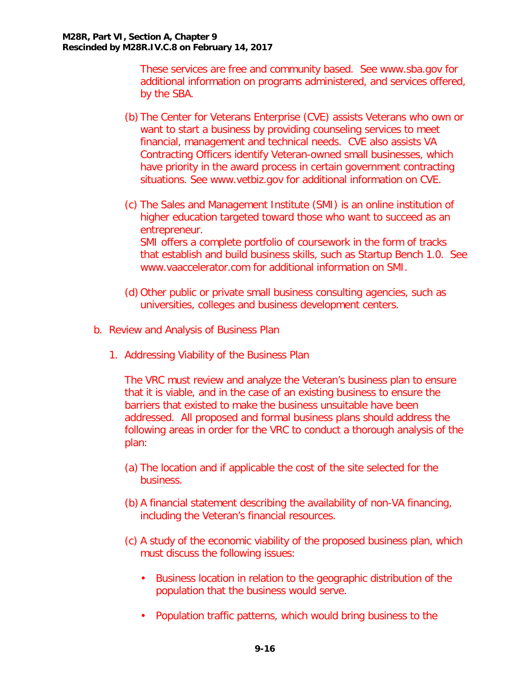These services are free and community based. See www.sba.gov for additional information on programs administered, and services offered, by the SBA.

- (b) The Center for Veterans Enterprise (CVE) assists Veterans who own or want to start a business by providing counseling services to meet financial, management and technical needs. CVE also assists VA Contracting Officers identify Veteran-owned small businesses, which have priority in the award process in certain government contracting situations. See www.vetbiz.gov for additional information on CVE.
- (c) The Sales and Management Institute (SMI) is an online institution of higher education targeted toward those who want to succeed as an entrepreneur. SMI offers a complete portfolio of coursework in the form of tracks that establish and build business skills, such as Startup Bench 1.0. See www.vaaccelerator.com for additional information on SMI.
- (d) Other public or private small business consulting agencies, such as universities, colleges and business development centers.
- <span id="page-17-0"></span>b. Review and Analysis of Business Plan
	- 1. Addressing Viability of the Business Plan

The VRC must review and analyze the Veteran's business plan to ensure that it is viable, and in the case of an existing business to ensure the barriers that existed to make the business unsuitable have been addressed. All proposed and formal business plans should address the following areas in order for the VRC to conduct a thorough analysis of the plan:

- (a) The location and if applicable the cost of the site selected for the business.
- (b) A financial statement describing the availability of non-VA financing, including the Veteran's financial resources.
- (c) A study of the economic viability of the proposed business plan, which must discuss the following issues:
	- Business location in relation to the geographic distribution of the population that the business would serve.
	- Population traffic patterns, which would bring business to the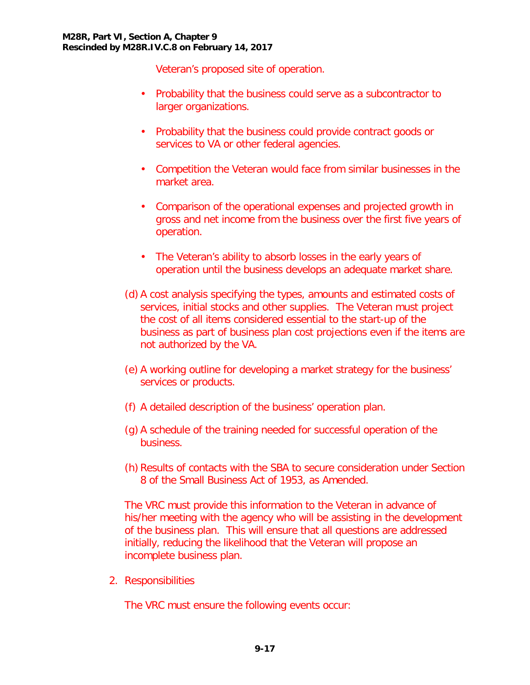Veteran's proposed site of operation.

- Probability that the business could serve as a subcontractor to larger organizations.
- Probability that the business could provide contract goods or services to VA or other federal agencies.
- Competition the Veteran would face from similar businesses in the market area.
- Comparison of the operational expenses and projected growth in gross and net income from the business over the first five years of operation.
- The Veteran's ability to absorb losses in the early years of operation until the business develops an adequate market share.
- (d) A cost analysis specifying the types, amounts and estimated costs of services, initial stocks and other supplies. The Veteran must project the cost of all items considered essential to the start-up of the business as part of business plan cost projections even if the items are not authorized by the VA.
- (e) A working outline for developing a market strategy for the business' services or products.
- (f) A detailed description of the business' operation plan.
- (g) A schedule of the training needed for successful operation of the business.
- (h) Results of contacts with the SBA to secure consideration under Section 8 of the Small Business Act of 1953, as Amended.

The VRC must provide this information to the Veteran in advance of his/her meeting with the agency who will be assisting in the development of the business plan. This will ensure that all questions are addressed initially, reducing the likelihood that the Veteran will propose an incomplete business plan.

2. Responsibilities

The VRC must ensure the following events occur: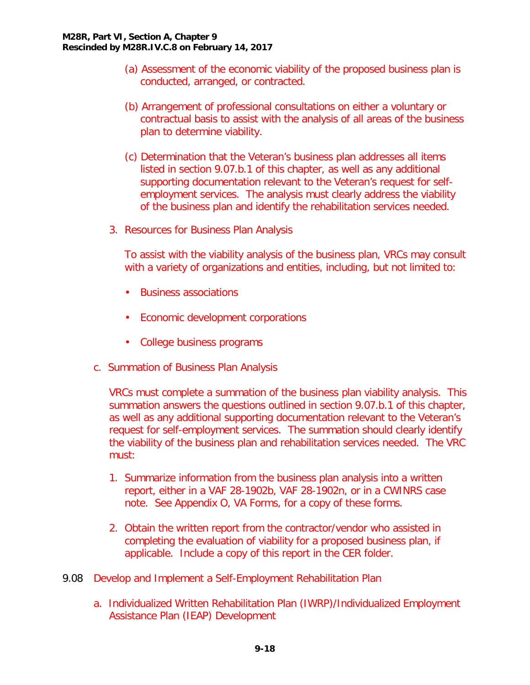- (a) Assessment of the economic viability of the proposed business plan is conducted, arranged, or contracted.
- (b) Arrangement of professional consultations on either a voluntary or contractual basis to assist with the analysis of all areas of the business plan to determine viability.
- (c) Determination that the Veteran's business plan addresses all items listed in section 9.07.b.1 of this chapter, as well as any additional supporting documentation relevant to the Veteran's request for selfemployment services. The analysis must clearly address the viability of the business plan and identify the rehabilitation services needed.
- 3. Resources for Business Plan Analysis

To assist with the viability analysis of the business plan, VRCs may consult with a variety of organizations and entities, including, but not limited to:

- Business associations
- Economic development corporations
- College business programs
- <span id="page-19-0"></span>c. Summation of Business Plan Analysis

VRCs must complete a summation of the business plan viability analysis. This summation answers the questions outlined in section 9.07.b.1 of this chapter, as well as any additional supporting documentation relevant to the Veteran's request for self-employment services. The summation should clearly identify the viability of the business plan and rehabilitation services needed. The VRC must:

- 1. Summarize information from the business plan analysis into a written report, either in a VAF 28-1902b, VAF 28-1902n, or in a CWINRS case note. See Appendix O, VA Forms, for a copy of these forms.
- 2. Obtain the written report from the contractor/vendor who assisted in completing the evaluation of viability for a proposed business plan, if applicable. Include a copy of this report in the CER folder.
- <span id="page-19-2"></span><span id="page-19-1"></span>9.08 Develop and Implement a Self-Employment Rehabilitation Plan
	- a. Individualized Written Rehabilitation Plan (IWRP)/Individualized Employment Assistance Plan (IEAP) Development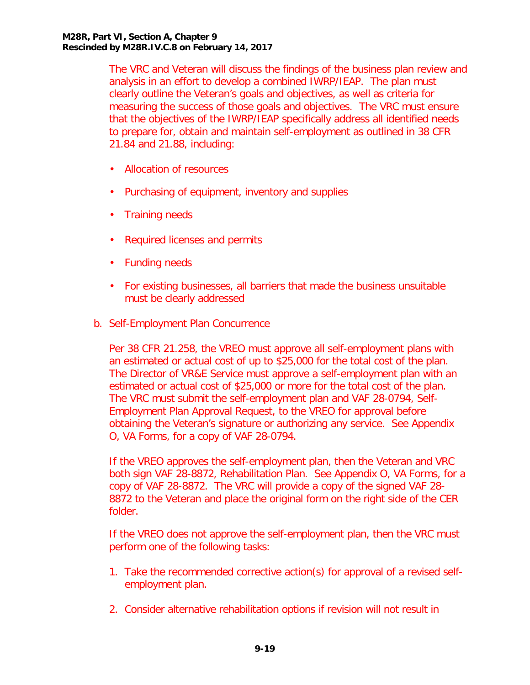The VRC and Veteran will discuss the findings of the business plan review and analysis in an effort to develop a combined IWRP/IEAP. The plan must clearly outline the Veteran's goals and objectives, as well as criteria for measuring the success of those goals and objectives. The VRC must ensure that the objectives of the IWRP/IEAP specifically address all identified needs to prepare for, obtain and maintain self-employment as outlined in 38 CFR 21.84 and 21.88, including:

- Allocation of resources
- Purchasing of equipment, inventory and supplies
- Training needs
- Required licenses and permits
- Funding needs
- For existing businesses, all barriers that made the business unsuitable must be clearly addressed
- <span id="page-20-0"></span>b. Self-Employment Plan Concurrence

Per 38 CFR 21.258, the VREO must approve all self-employment plans with an estimated or actual cost of up to \$25,000 for the total cost of the plan. The Director of VR&E Service must approve a self-employment plan with an estimated or actual cost of \$25,000 or more for the total cost of the plan. The VRC must submit the self-employment plan and VAF 28-0794, Self-Employment Plan Approval Request, to the VREO for approval before obtaining the Veteran's signature or authorizing any service. See Appendix O, VA Forms, for a copy of VAF 28-0794.

If the VREO approves the self-employment plan, then the Veteran and VRC both sign VAF 28-8872, Rehabilitation Plan. See Appendix O, VA Forms, for a copy of VAF 28-8872. The VRC will provide a copy of the signed VAF 28- 8872 to the Veteran and place the original form on the right side of the CER folder.

If the VREO does not approve the self-employment plan, then the VRC must perform one of the following tasks:

- 1. Take the recommended corrective action(s) for approval of a revised selfemployment plan.
- 2. Consider alternative rehabilitation options if revision will not result in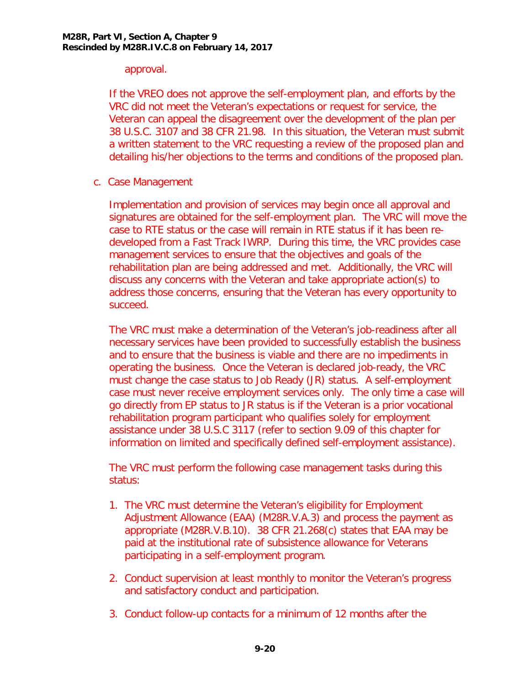### approval.

If the VREO does not approve the self-employment plan, and efforts by the VRC did not meet the Veteran's expectations or request for service, the Veteran can appeal the disagreement over the development of the plan per 38 U.S.C. 3107 and 38 CFR 21.98. In this situation, the Veteran must submit a written statement to the VRC requesting a review of the proposed plan and detailing his/her objections to the terms and conditions of the proposed plan.

<span id="page-21-0"></span>c. Case Management

Implementation and provision of services may begin once all approval and signatures are obtained for the self-employment plan. The VRC will move the case to RTE status or the case will remain in RTE status if it has been redeveloped from a Fast Track IWRP. During this time, the VRC provides case management services to ensure that the objectives and goals of the rehabilitation plan are being addressed and met. Additionally, the VRC will discuss any concerns with the Veteran and take appropriate action(s) to address those concerns, ensuring that the Veteran has every opportunity to succeed.

The VRC must make a determination of the Veteran's job-readiness after all necessary services have been provided to successfully establish the business and to ensure that the business is viable and there are no impediments in operating the business. Once the Veteran is declared job-ready, the VRC must change the case status to Job Ready (JR) status. A self-employment case must never receive employment services only. The only time a case will go directly from EP status to JR status is if the Veteran is a prior vocational rehabilitation program participant who qualifies solely for employment assistance under 38 U.S.C 3117 (refer to section 9.09 of this chapter for information on limited and specifically defined self-employment assistance).

The VRC must perform the following case management tasks during this status:

- 1. The VRC must determine the Veteran's eligibility for Employment Adjustment Allowance (EAA) (M28R.V.A.3) and process the payment as appropriate (M28R.V.B.10). 38 CFR 21.268(c) states that EAA may be paid at the institutional rate of subsistence allowance for Veterans participating in a self-employment program.
- 2. Conduct supervision at least monthly to monitor the Veteran's progress and satisfactory conduct and participation.
- 3. Conduct follow-up contacts for a minimum of 12 months after the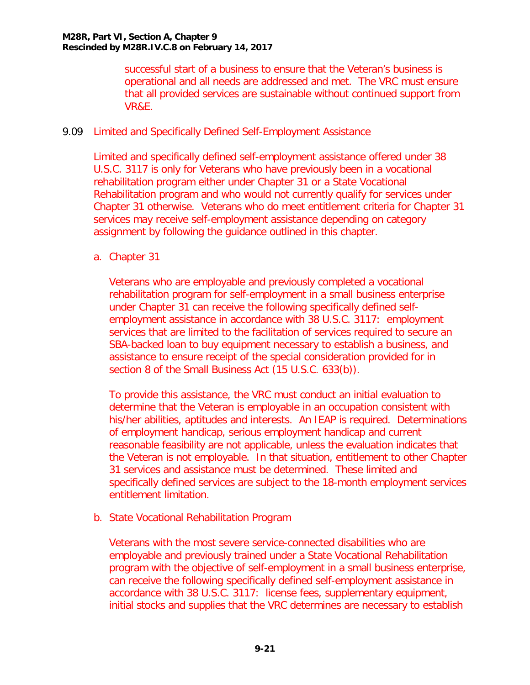successful start of a business to ensure that the Veteran's business is operational and all needs are addressed and met. The VRC must ensure that all provided services are sustainable without continued support from VR&E.

## <span id="page-22-0"></span>9.09 Limited and Specifically Defined Self-Employment Assistance

Limited and specifically defined self-employment assistance offered under 38 U.S.C. 3117 is only for Veterans who have previously been in a vocational rehabilitation program either under Chapter 31 or a State Vocational Rehabilitation program and who would not currently qualify for services under Chapter 31 otherwise. Veterans who do meet entitlement criteria for Chapter 31 services may receive self-employment assistance depending on category assignment by following the guidance outlined in this chapter.

## <span id="page-22-1"></span>a. Chapter 31

Veterans who are employable and previously completed a vocational rehabilitation program for self-employment in a small business enterprise under Chapter 31 can receive the following specifically defined selfemployment assistance in accordance with 38 U.S.C. 3117: employment services that are limited to the facilitation of services required to secure an SBA-backed loan to buy equipment necessary to establish a business, and assistance to ensure receipt of the special consideration provided for in section 8 of the Small Business Act (15 U.S.C. 633(b)).

To provide this assistance, the VRC must conduct an initial evaluation to determine that the Veteran is employable in an occupation consistent with his/her abilities, aptitudes and interests. An IEAP is required. Determinations of employment handicap, serious employment handicap and current reasonable feasibility are not applicable, unless the evaluation indicates that the Veteran is not employable. In that situation, entitlement to other Chapter 31 services and assistance must be determined. These limited and specifically defined services are subject to the 18-month employment services entitlement limitation.

<span id="page-22-2"></span>b. State Vocational Rehabilitation Program

Veterans with the most severe service-connected disabilities who are employable and previously trained under a State Vocational Rehabilitation program with the objective of self-employment in a small business enterprise, can receive the following specifically defined self-employment assistance in accordance with 38 U.S.C. 3117: license fees, supplementary equipment, initial stocks and supplies that the VRC determines are necessary to establish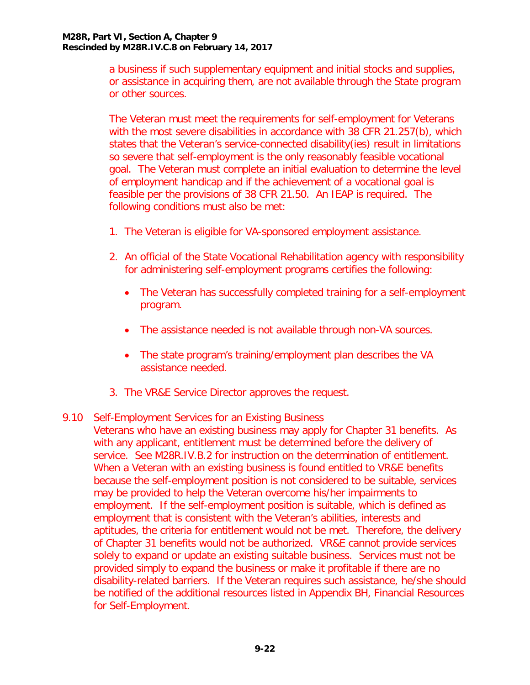a business if such supplementary equipment and initial stocks and supplies, or assistance in acquiring them, are not available through the State program or other sources.

The Veteran must meet the requirements for self-employment for Veterans with the most severe disabilities in accordance with 38 CFR 21.257(b), which states that the Veteran's service-connected disability(ies) result in limitations so severe that self-employment is the only reasonably feasible vocational goal. The Veteran must complete an initial evaluation to determine the level of employment handicap and if the achievement of a vocational goal is feasible per the provisions of 38 CFR 21.50. An IEAP is required. The following conditions must also be met:

- 1. The Veteran is eligible for VA-sponsored employment assistance.
- 2. An official of the State Vocational Rehabilitation agency with responsibility for administering self-employment programs certifies the following:
	- The Veteran has successfully completed training for a self-employment program.
	- The assistance needed is not available through non-VA sources.
	- The state program's training/employment plan describes the VA assistance needed.
- 3. The VR&E Service Director approves the request.

## <span id="page-23-0"></span>9.10 Self-Employment Services for an Existing Business

Veterans who have an existing business may apply for Chapter 31 benefits. As with any applicant, entitlement must be determined before the delivery of service. See M28R.IV.B.2 for instruction on the determination of entitlement. When a Veteran with an existing business is found entitled to VR&E benefits because the self-employment position is not considered to be suitable, services may be provided to help the Veteran overcome his/her impairments to employment. If the self-employment position is suitable, which is defined as employment that is consistent with the Veteran's abilities, interests and aptitudes, the criteria for entitlement would not be met. Therefore, the delivery of Chapter 31 benefits would not be authorized. VR&E cannot provide services solely to expand or update an existing suitable business. Services must not be provided simply to expand the business or make it profitable if there are no disability-related barriers. If the Veteran requires such assistance, he/she should be notified of the additional resources listed in Appendix BH, Financial Resources for Self-Employment.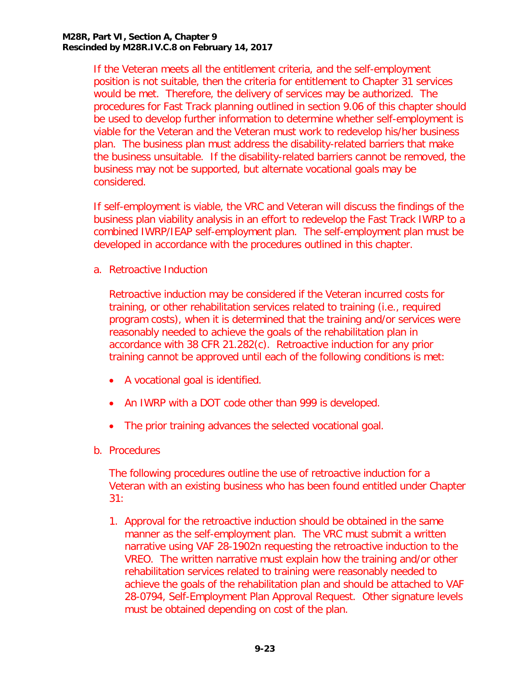#### **M28R, Part VI, Section A, Chapter 9 Rescinded by M28R.IV.C.8 on February 14, 2017**

If the Veteran meets all the entitlement criteria, and the self-employment position is not suitable, then the criteria for entitlement to Chapter 31 services would be met. Therefore, the delivery of services may be authorized. The procedures for Fast Track planning outlined in section 9.06 of this chapter should be used to develop further information to determine whether self-employment is viable for the Veteran and the Veteran must work to redevelop his/her business plan. The business plan must address the disability-related barriers that make the business unsuitable. If the disability-related barriers cannot be removed, the business may not be supported, but alternate vocational goals may be considered.

If self-employment is viable, the VRC and Veteran will discuss the findings of the business plan viability analysis in an effort to redevelop the Fast Track IWRP to a combined IWRP/IEAP self-employment plan. The self-employment plan must be developed in accordance with the procedures outlined in this chapter.

<span id="page-24-0"></span>a. Retroactive Induction

Retroactive induction may be considered if the Veteran incurred costs for training, or other rehabilitation services related to training (i.e., required program costs), when it is determined that the training and/or services were reasonably needed to achieve the goals of the rehabilitation plan in accordance with 38 CFR 21.282(c). Retroactive induction for any prior training cannot be approved until each of the following conditions is met:

- A vocational goal is identified.
- An IWRP with a DOT code other than 999 is developed.
- The prior training advances the selected vocational goal.
- <span id="page-24-1"></span>b. Procedures

The following procedures outline the use of retroactive induction for a Veteran with an existing business who has been found entitled under Chapter 31:

1. Approval for the retroactive induction should be obtained in the same manner as the self-employment plan. The VRC must submit a written narrative using VAF 28-1902n requesting the retroactive induction to the VREO. The written narrative must explain how the training and/or other rehabilitation services related to training were reasonably needed to achieve the goals of the rehabilitation plan and should be attached to VAF 28-0794, Self-Employment Plan Approval Request. Other signature levels must be obtained depending on cost of the plan.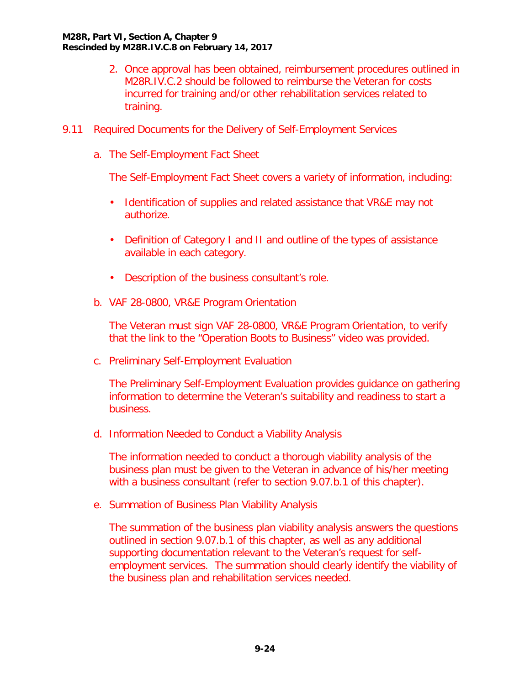- 2. Once approval has been obtained, reimbursement procedures outlined in M28R.IV.C.2 should be followed to reimburse the Veteran for costs incurred for training and/or other rehabilitation services related to training.
- <span id="page-25-1"></span><span id="page-25-0"></span>9.11 Required Documents for the Delivery of Self-Employment Services
	- a. The Self-Employment Fact Sheet

The Self-Employment Fact Sheet covers a variety of information, including:

- Identification of supplies and related assistance that VR&E may not authorize.
- Definition of Category I and II and outline of the types of assistance available in each category.
- Description of the business consultant's role.
- <span id="page-25-2"></span>b. VAF 28-0800, VR&E Program Orientation

The Veteran must sign VAF 28-0800, VR&E Program Orientation, to verify that the link to the "Operation Boots to Business" video was provided.

<span id="page-25-3"></span>c. Preliminary Self-Employment Evaluation

The Preliminary Self-Employment Evaluation provides guidance on gathering information to determine the Veteran's suitability and readiness to start a business.

<span id="page-25-4"></span>d. Information Needed to Conduct a Viability Analysis

The information needed to conduct a thorough viability analysis of the business plan must be given to the Veteran in advance of his/her meeting with a business consultant (refer to section 9.07.b.1 of this chapter).

<span id="page-25-5"></span>e. Summation of Business Plan Viability Analysis

The summation of the business plan viability analysis answers the questions outlined in section 9.07.b.1 of this chapter, as well as any additional supporting documentation relevant to the Veteran's request for selfemployment services. The summation should clearly identify the viability of the business plan and rehabilitation services needed.